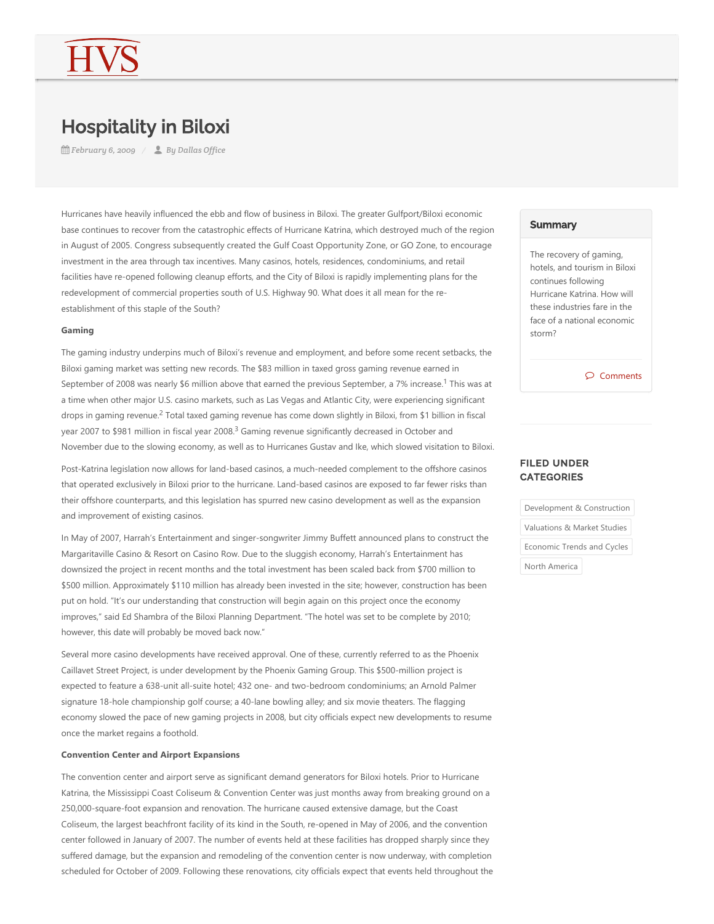# Hospitality in Biloxi

*February 6, 2009 By Dallas Office*

Hurricanes have heavily influenced the ebb and flow of business in Biloxi. The greater Gulfport/Biloxi economic base continues to recover from the catastrophic effects of Hurricane Katrina, which destroyed much of the region in August of 2005. Congress subsequently created the Gulf Coast Opportunity Zone, or GO Zone, to encourage investment in the area through tax incentives. Many casinos, hotels, residences, condominiums, and retail facilities have re-opened following cleanup efforts, and the City of Biloxi is rapidly implementing plans for the redevelopment of commercial properties south of U.S. Highway 90. What does it all mean for the reestablishment of this staple of the South?

### **Gaming**

The gaming industry underpins much of Biloxi's revenue and employment, and before some recent setbacks, the Biloxi gaming market was setting new records. The \$83 million in taxed gross gaming revenue earned in September of 2008 was nearly \$6 million above that earned the previous September, a 7% increase.<sup>1</sup> This was at a time when other major U.S. casino markets, such as Las Vegas and Atlantic City, were experiencing significant drops in gaming revenue.<sup>2</sup> Total taxed gaming revenue has come down slightly in Biloxi, from \$1 billion in fiscal year 2007 to \$981 million in fiscal year 2008.<sup>3</sup> Gaming revenue significantly decreased in October and November due to the slowing economy, as well as to Hurricanes Gustav and Ike, which slowed visitation to Biloxi.

Post-Katrina legislation now allows for land-based casinos, a much-needed complement to the offshore casinos that operated exclusively in Biloxi prior to the hurricane. Land‐based casinos are exposed to far fewer risks than their offshore counterparts, and this legislation has spurred new casino development as well as the expansion and improvement of existing casinos.

In May of 2007, Harrah's Entertainment and singer-songwriter Jimmy Buffett announced plans to construct the Margaritaville Casino & Resort on Casino Row. Due to the sluggish economy, Harrah's Entertainment has downsized the project in recent months and the total investment has been scaled back from \$700 million to \$500 million. Approximately \$110 million has already been invested in the site; however, construction has been put on hold. "It's our understanding that construction will begin again on this project once the economy improves," said Ed Shambra of the Biloxi Planning Department. "The hotel was set to be complete by 2010; however, this date will probably be moved back now."

Several more casino developments have received approval. One of these, currently referred to as the Phoenix Caillavet Street Project, is under development by the Phoenix Gaming Group. This \$500‐million project is expected to feature a 638‐unit all‐suite hotel; 432 one‐ and two‐bedroom condominiums; an Arnold Palmer signature 18-hole championship golf course; a 40-lane bowling alley; and six movie theaters. The flagging economy slowed the pace of new gaming projects in 2008, but city officials expect new developments to resume once the market regains a foothold.

## **Convention Center and Airport Expansions**

The convention center and airport serve as significant demand generators for Biloxi hotels. Prior to Hurricane Katrina, the Mississippi Coast Coliseum & Convention Center was just months away from breaking ground on a 250,000‐square‐foot expansion and renovation. The hurricane caused extensive damage, but the Coast Coliseum, the largest beachfront facility of its kind in the South, re‐opened in May of 2006, and the convention center followed in January of 2007. The number of events held at these facilities has dropped sharply since they suffered damage, but the expansion and remodeling of the convention center is now underway, with completion scheduled for October of 2009. Following these renovations, city officials expect that events held throughout the

#### **Summary**

The recovery of gaming, hotels, and tourism in Biloxi continues following Hurricane Katrina. How will these industries fare in the face of a national economic storm?

Comments

# FILED UNDER **CATEGORIES**

Development & Construction Valuations & Market Studies Economic Trends and Cycles North America